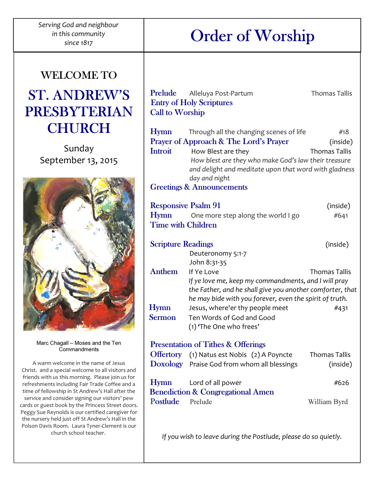$\overline{a}$ Serving God and neighbour in this community

# since 1817 Order of Worship

Prelude Alleluya Post-Partum Thomas Tallis

### WELCOME TO

## ST. ANDREW'S PRESBYTERIAN **CHURCH**

Sunday September 13, 2015



Marc Chagall – Moses and the Ten Commandments

A warm welcome in the name of Jesus Christ. and a special welcome to all visitors and friends with us this morning. Please join us for refreshments including Fair Trade Coffee and a time of fellowship in St Andrew's Hall after the service and consider signing our visitors' pew cards or guest book by the Princess Street doors. Peggy Sue Reynolds is our certified caregiver for the nursery held just off St Andrew's Hall in the Polson Davis Room. Laura Tyner-Clement is our church school teacher.

| <b>Entry of Holy Scriptures</b><br><b>Call to Worship</b>                                                       |                                                                                                                                                                 |                                         |
|-----------------------------------------------------------------------------------------------------------------|-----------------------------------------------------------------------------------------------------------------------------------------------------------------|-----------------------------------------|
| <b>Hymn</b><br><b>Introit</b>                                                                                   | Through all the changing scenes of life<br>Prayer of Approach & The Lord's Prayer<br>How Blest are they<br>How blest are they who make God's law their treasure | #18<br>(inside)<br><b>Thomas Tallis</b> |
| and delight and meditate upon that word with gladness<br>day and night.<br><b>Greetings &amp; Announcements</b> |                                                                                                                                                                 |                                         |
| <b>Responsive Psalm 91</b>                                                                                      |                                                                                                                                                                 | (inside)                                |
| <b>Hymn</b><br><b>Time with Children</b>                                                                        | One more step along the world I go                                                                                                                              | #641                                    |
| <b>Scripture Readings</b>                                                                                       | Deuteronomy 5:1-7<br>John 8:31-35                                                                                                                               | (inside)                                |
| <b>Anthem</b>                                                                                                   | If Ye Love<br>If ye love me, keep my commandments, and I will pray<br>the Father, and he shall give you another comforter, that                                 | <b>Thomas Tallis</b>                    |
| <b>Hymn</b><br><b>Sermon</b>                                                                                    | he may bide with you forever, even the spirit of truth.<br>Jesus, where'er thy people meet<br>Ten Words of God and Good<br>(1) 'The One who frees'              | #431                                    |
|                                                                                                                 | <b>Presentation of Tithes &amp; Offerings</b>                                                                                                                   |                                         |
|                                                                                                                 | Offertory (1) Natus est Nobis (2) A Poyncte<br>Doxology Praise God from whom all blessings                                                                      | <b>Thomas Tallis</b><br>(inside)        |
| <b>Hymn</b>                                                                                                     | Lord of all power<br><b>Benediction &amp; Congregational Amen</b>                                                                                               | #626                                    |
| <b>Postlude</b>                                                                                                 | Prelude                                                                                                                                                         | William Byrd                            |
|                                                                                                                 |                                                                                                                                                                 |                                         |

If you wish to leave during the Postlude, please do so quietly.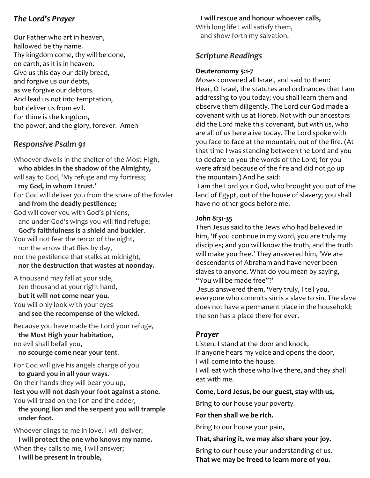#### The Lord's Prayer

Our Father who art in heaven, hallowed be thy name. Thy kingdom come, thy will be done, on earth, as it is in heaven. Give us this day our daily bread, and forgive us our debts, as we forgive our debtors. And lead us not into temptation, but deliver us from evil. For thine is the kingdom, the power, and the glory, forever. Amen

#### Responsive Psalm 91

Whoever dwells in the shelter of the Most High, who abides in the shadow of the Almighty, will say to God, 'My refuge and my fortress; my God, in whom I trust.' For God will deliver you from the snare of the fowler and from the deadly pestilence; God will cover you with God's pinions, and under God's wings you will find refuge; God's faithfulness is a shield and buckler. You will not fear the terror of the night, nor the arrow that flies by day, nor the pestilence that stalks at midnight, nor the destruction that wastes at noonday.

A thousand may fall at your side, ten thousand at your right hand, but it will not come near you. You will only look with your eyes and see the recompense of the wicked.

Because you have made the Lord your refuge, the Most High your habitation, no evil shall befall you, no scourge come near your tent.

For God will give his angels charge of you to guard you in all your ways. On their hands they will bear you up, lest you will not dash your foot against a stone. You will tread on the lion and the adder, the young lion and the serpent you will trample under foot.

Whoever clings to me in love, I will deliver; I will protect the one who knows my name. When they calls to me, I will answer; I will be present in trouble,

#### I will rescue and honour whoever calls,

With long life I will satisfy them, and show forth my salvation.

#### Scripture Readings

#### Deuteronomy 5:1-7

Moses convened all Israel, and said to them: Hear, O Israel, the statutes and ordinances that I am addressing to you today; you shall learn them and observe them diligently. The Lord our God made a covenant with us at Horeb. Not with our ancestors did the Lord make this covenant, but with us, who are all of us here alive today. The Lord spoke with you face to face at the mountain, out of the fire. (At that time I was standing between the Lord and you to declare to you the words of the Lord; for you were afraid because of the fire and did not go up the mountain.) And he said:

 I am the Lord your God, who brought you out of the land of Egypt, out of the house of slavery; you shall have no other gods before me.

#### John 8:31-35

Then Jesus said to the Jews who had believed in him, 'If you continue in my word, you are truly my disciples; and you will know the truth, and the truth will make you free.' They answered him, 'We are descendants of Abraham and have never been slaves to anyone. What do you mean by saying, "You will be made free"?'

 Jesus answered them, 'Very truly, I tell you, everyone who commits sin is a slave to sin. The slave does not have a permanent place in the household; the son has a place there for ever.

#### Prayer

Listen, I stand at the door and knock, If anyone hears my voice and opens the door, I will come into the house. I will eat with those who live there, and they shall eat with me.

#### Come, Lord Jesus, be our guest, stay with us,

Bring to our house your poverty.

For then shall we be rich.

Bring to our house your pain,

#### That, sharing it, we may also share your joy.

Bring to our house your understanding of us. That we may be freed to learn more of you.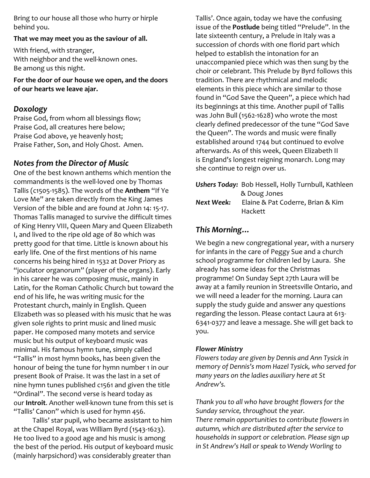Bring to our house all those who hurry or hirple behind you.

#### That we may meet you as the saviour of all.

With friend, with stranger, With neighbor and the well-known ones. Be among us this night.

For the door of our house we open, and the doors of our hearts we leave ajar.

#### Doxology

Praise God, from whom all blessings flow; Praise God, all creatures here below; Praise God above, ye heavenly host; Praise Father, Son, and Holy Ghost. Amen.

#### Notes from the Director of Music

One of the best known anthems which mention the commandments is the well-loved one by Thomas Tallis ( $c$ 1505-1585). The words of the **Anthem** "If Ye Love Me" are taken directly from the King James Version of the bible and are found at John 14: 15-17. Thomas Tallis managed to survive the difficult times of King Henry VIII, Queen Mary and Queen Elizabeth I, and lived to the ripe old age of 80 which was pretty good for that time. Little is known about his early life. One of the first mentions of his name concerns his being hired in 1532 at Dover Priory as "joculator organorum" (player of the organs). Early in his career he was composing music, mainly in Latin, for the Roman Catholic Church but toward the end of his life, he was writing music for the Protestant church, mainly in English. Queen Elizabeth was so pleased with his music that he was given sole rights to print music and lined music paper. He composed many motets and service music but his output of keyboard music was minimal. His famous hymn tune, simply called "Tallis" in most hymn books, has been given the honour of being the tune for hymn number 1 in our present Book of Praise. It was the last in a set of nine hymn tunes published c1561 and given the title "Ordinal". The second verse is heard today as our **Introit**. Another well-known tune from this set is "Tallis' Canon" which is used for hymn 456.

 Tallis' star pupil, who became assistant to him at the Chapel Royal, was William Byrd (1543-1623). He too lived to a good age and his music is among the best of the period. His output of keyboard music (mainly harpsichord) was considerably greater than

Tallis'. Once again, today we have the confusing issue of the Postlude being titled "Prelude". In the late sixteenth century, a Prelude in Italy was a succession of chords with one florid part which helped to establish the intonation for an unaccompanied piece which was then sung by the choir or celebrant. This Prelude by Byrd follows this tradition. There are rhythmical and melodic elements in this piece which are similar to those found in "God Save the Queen", a piece which had its beginnings at this time. Another pupil of Tallis was John Bull (1562-1628) who wrote the most clearly defined predecessor of the tune "God Save the Queen". The words and music were finally established around 1744 but continued to evolve afterwards. As of this week, Queen Elizabeth II is England's longest reigning monarch. Long may she continue to reign over us.

Ushers Today: Bob Hessell, Holly Turnbull, Kathleen & Doug Jones Next Week: Elaine & Pat Coderre, Brian & Kim Hackett

#### This Morning…

We begin a new congregational year, with a nursery for infants in the care of Peggy Sue and a church school programme for children led by Laura. She already has some ideas for the Christmas programme! On Sunday Sept 27th Laura will be away at a family reunion in Streetsville Ontario, and we will need a leader for the morning. Laura can supply the study guide and answer any questions regarding the lesson. Please contact Laura at 613- 6341-0377 and leave a message. She will get back to you.

#### Flower Ministry

Flowers today are given by Dennis and Ann Tysick in memory of Dennis's mom Hazel Tysick, who served for many years on the ladies auxiliary here at St Andrew's.

Thank you to all who have brought flowers for the Sunday service, throughout the year. There remain opportunities to contribute flowers in autumn, which are distributed after the service to households in support or celebration. Please sign up in St Andrew's Hall or speak to Wendy Worling to